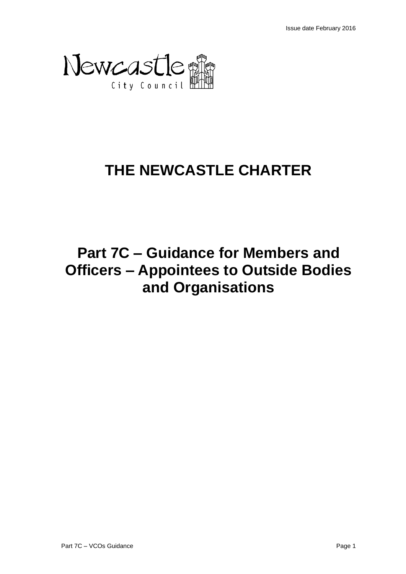

# **THE NEWCASTLE CHARTER**

# **Part 7C – Guidance for Members and Officers – Appointees to Outside Bodies and Organisations**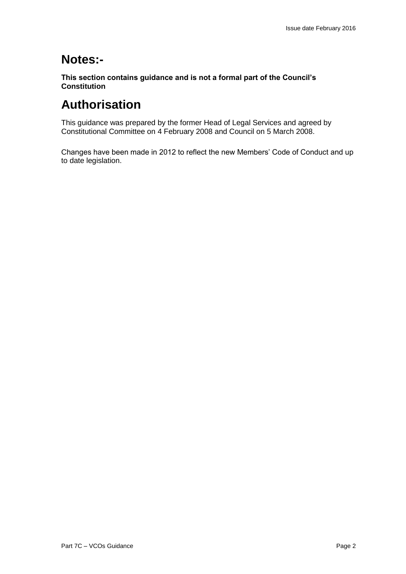# **Notes:-**

**This section contains guidance and is not a formal part of the Council's Constitution**

# **Authorisation**

This guidance was prepared by the former Head of Legal Services and agreed by Constitutional Committee on 4 February 2008 and Council on 5 March 2008.

Changes have been made in 2012 to reflect the new Members' Code of Conduct and up to date legislation.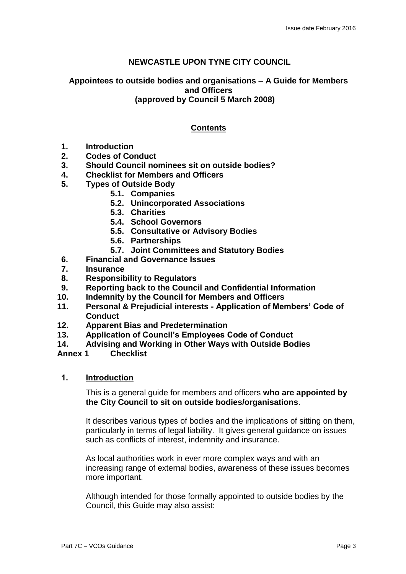# **NEWCASTLE UPON TYNE CITY COUNCIL**

# **Appointees to outside bodies and organisations – A Guide for Members and Officers (approved by Council 5 March 2008)**

# **Contents**

- **1. Introduction**
- **2. Codes of Conduct**
- **3. Should Council nominees sit on outside bodies?**
- **4. Checklist for Members and Officers**
- **5. Types of Outside Body**
	- **5.1. Companies**
	- **5.2. Unincorporated Associations**
	- **5.3. Charities**
	- **5.4. School Governors**
	- **5.5. Consultative or Advisory Bodies**
	- **5.6. Partnerships**
	- **5.7. Joint Committees and Statutory Bodies**
- **6. Financial and Governance Issues**
- **7. Insurance**
- **8. Responsibility to Regulators**
- **9. Reporting back to the Council and Confidential Information**
- **10. Indemnity by the Council for Members and Officers**
- **11. Personal & Prejudicial interests - Application of Members' Code of Conduct**
- **12. Apparent Bias and Predetermination**
- **13. Application of Council's Employees Code of Conduct**
- **14. Advising and Working in Other Ways with Outside Bodies**

**Annex 1 Checklist**

**1. Introduction**

This is a general guide for members and officers **who are appointed by the City Council to sit on outside bodies/organisations**.

It describes various types of bodies and the implications of sitting on them, particularly in terms of legal liability. It gives general guidance on issues such as conflicts of interest, indemnity and insurance.

As local authorities work in ever more complex ways and with an increasing range of external bodies, awareness of these issues becomes more important.

Although intended for those formally appointed to outside bodies by the Council, this Guide may also assist: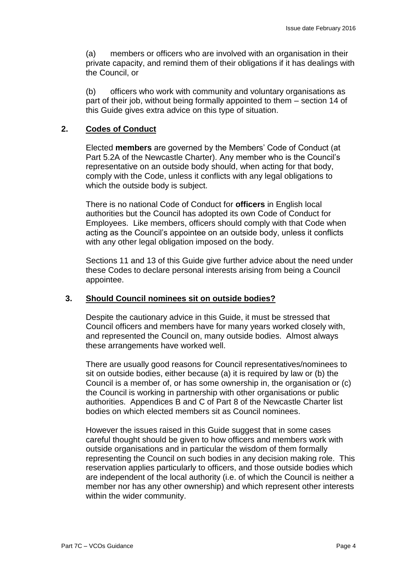(a) members or officers who are involved with an organisation in their private capacity, and remind them of their obligations if it has dealings with the Council, or

(b) officers who work with community and voluntary organisations as part of their job, without being formally appointed to them – section 14 of this Guide gives extra advice on this type of situation.

# **2. Codes of Conduct**

Elected **members** are governed by the Members' Code of Conduct (at Part 5.2A of the Newcastle Charter). Any member who is the Council's representative on an outside body should, when acting for that body, comply with the Code, unless it conflicts with any legal obligations to which the outside body is subject.

There is no national Code of Conduct for **officers** in English local authorities but the Council has adopted its own Code of Conduct for Employees. Like members, officers should comply with that Code when acting as the Council's appointee on an outside body, unless it conflicts with any other legal obligation imposed on the body.

Sections 11 and 13 of this Guide give further advice about the need under these Codes to declare personal interests arising from being a Council appointee.

# **3. Should Council nominees sit on outside bodies?**

Despite the cautionary advice in this Guide, it must be stressed that Council officers and members have for many years worked closely with, and represented the Council on, many outside bodies. Almost always these arrangements have worked well.

There are usually good reasons for Council representatives/nominees to sit on outside bodies, either because (a) it is required by law or (b) the Council is a member of, or has some ownership in, the organisation or (c) the Council is working in partnership with other organisations or public authorities. Appendices B and C of Part 8 of the Newcastle Charter list bodies on which elected members sit as Council nominees.

However the issues raised in this Guide suggest that in some cases careful thought should be given to how officers and members work with outside organisations and in particular the wisdom of them formally representing the Council on such bodies in any decision making role. This reservation applies particularly to officers, and those outside bodies which are independent of the local authority (i.e. of which the Council is neither a member nor has any other ownership) and which represent other interests within the wider community.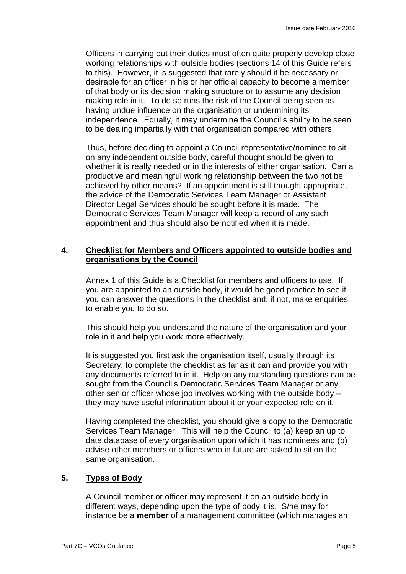Officers in carrying out their duties must often quite properly develop close working relationships with outside bodies (sections 14 of this Guide refers to this). However, it is suggested that rarely should it be necessary or desirable for an officer in his or her official capacity to become a member of that body or its decision making structure or to assume any decision making role in it. To do so runs the risk of the Council being seen as having undue influence on the organisation or undermining its independence. Equally, it may undermine the Council's ability to be seen to be dealing impartially with that organisation compared with others.

Thus, before deciding to appoint a Council representative/nominee to sit on any independent outside body, careful thought should be given to whether it is really needed or in the interests of either organisation. Can a productive and meaningful working relationship between the two not be achieved by other means? If an appointment is still thought appropriate, the advice of the Democratic Services Team Manager or Assistant Director Legal Services should be sought before it is made. The Democratic Services Team Manager will keep a record of any such appointment and thus should also be notified when it is made.

# **4. Checklist for Members and Officers appointed to outside bodies and organisations by the Council**

Annex 1 of this Guide is a Checklist for members and officers to use. If you are appointed to an outside body, it would be good practice to see if you can answer the questions in the checklist and, if not, make enquiries to enable you to do so.

This should help you understand the nature of the organisation and your role in it and help you work more effectively.

It is suggested you first ask the organisation itself, usually through its Secretary, to complete the checklist as far as it can and provide you with any documents referred to in it. Help on any outstanding questions can be sought from the Council's Democratic Services Team Manager or any other senior officer whose job involves working with the outside body – they may have useful information about it or your expected role on it.

Having completed the checklist, you should give a copy to the Democratic Services Team Manager. This will help the Council to (a) keep an up to date database of every organisation upon which it has nominees and (b) advise other members or officers who in future are asked to sit on the same organisation.

# **5. Types of Body**

A Council member or officer may represent it on an outside body in different ways, depending upon the type of body it is. S/he may for instance be a **member** of a management committee (which manages an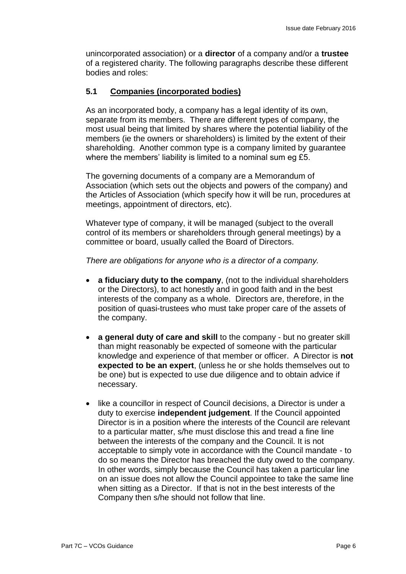unincorporated association) or a **director** of a company and/or a **trustee**  of a registered charity. The following paragraphs describe these different bodies and roles:

# **5.1 Companies (incorporated bodies)**

As an incorporated body, a company has a legal identity of its own, separate from its members. There are different types of company, the most usual being that limited by shares where the potential liability of the members (ie the owners or shareholders) is limited by the extent of their shareholding. Another common type is a company limited by guarantee where the members' liability is limited to a nominal sum eg £5.

The governing documents of a company are a Memorandum of Association (which sets out the objects and powers of the company) and the Articles of Association (which specify how it will be run, procedures at meetings, appointment of directors, etc).

Whatever type of company, it will be managed (subject to the overall control of its members or shareholders through general meetings) by a committee or board, usually called the Board of Directors.

*There are obligations for anyone who is a director of a company.* 

- **a fiduciary duty to the company**, (not to the individual shareholders or the Directors), to act honestly and in good faith and in the best interests of the company as a whole. Directors are, therefore, in the position of quasi-trustees who must take proper care of the assets of the company.
- **a general duty of care and skill** to the company but no greater skill than might reasonably be expected of someone with the particular knowledge and experience of that member or officer. A Director is **not expected to be an expert**, (unless he or she holds themselves out to be one) but is expected to use due diligence and to obtain advice if necessary.
- like a councillor in respect of Council decisions, a Director is under a duty to exercise **independent judgement**. If the Council appointed Director is in a position where the interests of the Council are relevant to a particular matter, s/he must disclose this and tread a fine line between the interests of the company and the Council. It is not acceptable to simply vote in accordance with the Council mandate - to do so means the Director has breached the duty owed to the company. In other words, simply because the Council has taken a particular line on an issue does not allow the Council appointee to take the same line when sitting as a Director. If that is not in the best interests of the Company then s/he should not follow that line.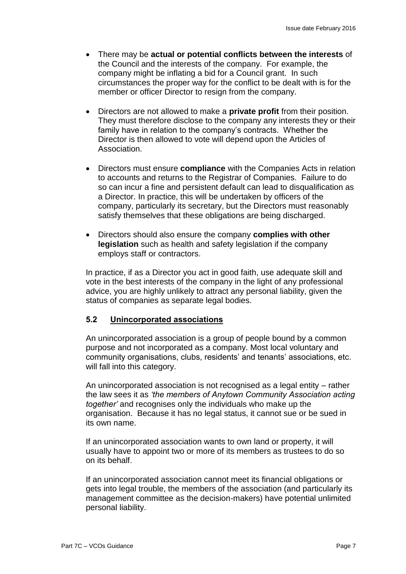- There may be **actual or potential conflicts between the interests** of the Council and the interests of the company. For example, the company might be inflating a bid for a Council grant. In such circumstances the proper way for the conflict to be dealt with is for the member or officer Director to resign from the company.
- Directors are not allowed to make a **private profit** from their position. They must therefore disclose to the company any interests they or their family have in relation to the company's contracts. Whether the Director is then allowed to vote will depend upon the Articles of Association.
- Directors must ensure **compliance** with the Companies Acts in relation to accounts and returns to the Registrar of Companies. Failure to do so can incur a fine and persistent default can lead to disqualification as a Director. In practice, this will be undertaken by officers of the company, particularly its secretary, but the Directors must reasonably satisfy themselves that these obligations are being discharged.
- Directors should also ensure the company **complies with other legislation** such as health and safety legislation if the company employs staff or contractors.

In practice, if as a Director you act in good faith, use adequate skill and vote in the best interests of the company in the light of any professional advice, you are highly unlikely to attract any personal liability, given the status of companies as separate legal bodies.

# **5.2 Unincorporated associations**

An unincorporated association is a group of people bound by a common purpose and not incorporated as a company. Most local voluntary and community organisations, clubs, residents' and tenants' associations, etc. will fall into this category.

An unincorporated association is not recognised as a legal entity – rather the law sees it as *'the members of Anytown Community Association acting together'* and recognises only the individuals who make up the organisation. Because it has no legal status, it cannot sue or be sued in its own name.

If an unincorporated association wants to own land or property, it will usually have to appoint two or more of its members as trustees to do so on its behalf.

If an unincorporated association cannot meet its financial obligations or gets into legal trouble, the members of the association (and particularly its management committee as the decision-makers) have potential unlimited personal liability.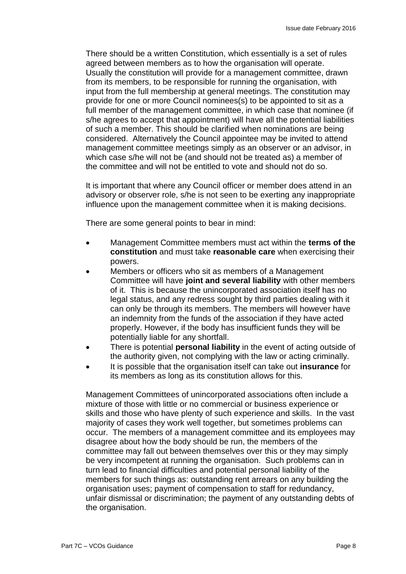There should be a written Constitution, which essentially is a set of rules agreed between members as to how the organisation will operate. Usually the constitution will provide for a management committee, drawn from its members, to be responsible for running the organisation, with input from the full membership at general meetings. The constitution may provide for one or more Council nominees(s) to be appointed to sit as a full member of the management committee, in which case that nominee (if s/he agrees to accept that appointment) will have all the potential liabilities of such a member. This should be clarified when nominations are being considered. Alternatively the Council appointee may be invited to attend management committee meetings simply as an observer or an advisor, in which case s/he will not be (and should not be treated as) a member of the committee and will not be entitled to vote and should not do so.

It is important that where any Council officer or member does attend in an advisory or observer role, s/he is not seen to be exerting any inappropriate influence upon the management committee when it is making decisions.

There are some general points to bear in mind:

- Management Committee members must act within the **terms of the constitution** and must take **reasonable care** when exercising their powers.
- Members or officers who sit as members of a Management Committee will have **joint and several liability** with other members of it. This is because the unincorporated association itself has no legal status, and any redress sought by third parties dealing with it can only be through its members. The members will however have an indemnity from the funds of the association if they have acted properly. However, if the body has insufficient funds they will be potentially liable for any shortfall.
- There is potential **personal liability** in the event of acting outside of the authority given, not complying with the law or acting criminally.
- It is possible that the organisation itself can take out **insurance** for its members as long as its constitution allows for this.

Management Committees of unincorporated associations often include a mixture of those with little or no commercial or business experience or skills and those who have plenty of such experience and skills. In the vast majority of cases they work well together, but sometimes problems can occur. The members of a management committee and its employees may disagree about how the body should be run, the members of the committee may fall out between themselves over this or they may simply be very incompetent at running the organisation. Such problems can in turn lead to financial difficulties and potential personal liability of the members for such things as: outstanding rent arrears on any building the organisation uses; payment of compensation to staff for redundancy, unfair dismissal or discrimination; the payment of any outstanding debts of the organisation.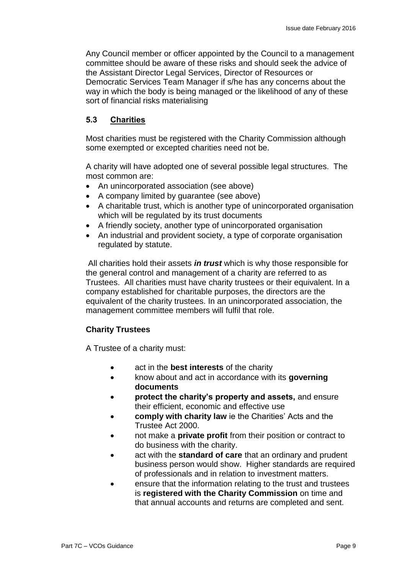Any Council member or officer appointed by the Council to a management committee should be aware of these risks and should seek the advice of the Assistant Director Legal Services, Director of Resources or Democratic Services Team Manager if s/he has any concerns about the way in which the body is being managed or the likelihood of any of these sort of financial risks materialising

# **5.3 Charities**

Most charities must be registered with the Charity Commission although some exempted or excepted charities need not be.

A charity will have adopted one of several possible legal structures. The most common are:

- An unincorporated association (see above)
- A company limited by guarantee (see above)
- A charitable trust, which is another type of unincorporated organisation which will be regulated by its trust documents
- A friendly society, another type of unincorporated organisation
- An industrial and provident society, a type of corporate organisation regulated by statute.

All charities hold their assets *in trust* which is why those responsible for the general control and management of a charity are referred to as Trustees. All charities must have charity trustees or their equivalent. In a company established for charitable purposes, the directors are the equivalent of the charity trustees. In an unincorporated association, the management committee members will fulfil that role.

# **Charity Trustees**

A Trustee of a charity must:

- act in the **best interests** of the charity
- know about and act in accordance with its **governing documents**
- **protect the charity's property and assets,** and ensure their efficient, economic and effective use
- **comply with charity law** ie the Charities' Acts and the Trustee Act 2000.
- not make a **private profit** from their position or contract to do business with the charity.
- act with the **standard of care** that an ordinary and prudent business person would show. Higher standards are required of professionals and in relation to investment matters.
- ensure that the information relating to the trust and trustees is **registered with the Charity Commission** on time and that annual accounts and returns are completed and sent.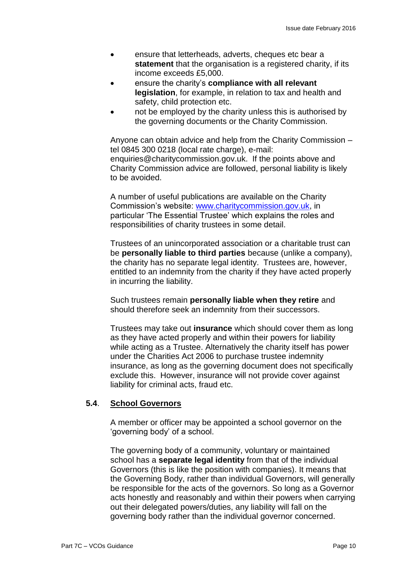- ensure that letterheads, adverts, cheques etc bear a **statement** that the organisation is a registered charity, if its income exceeds £5,000.
- ensure the charity's **compliance with all relevant legislation**, for example, in relation to tax and health and safety, child protection etc.
- not be employed by the charity unless this is authorised by the governing documents or the Charity Commission.

Anyone can obtain advice and help from the Charity Commission – tel 0845 300 0218 (local rate charge), e-mail: enquiries@charitycommission.gov.uk. If the points above and Charity Commission advice are followed, personal liability is likely to be avoided.

A number of useful publications are available on the Charity Commission's website: [www.charitycommission.gov.uk,](http://www.charitycommission.gov.uk/) in particular 'The Essential Trustee' which explains the roles and responsibilities of charity trustees in some detail.

Trustees of an unincorporated association or a charitable trust can be **personally liable to third parties** because (unlike a company), the charity has no separate legal identity. Trustees are, however, entitled to an indemnity from the charity if they have acted properly in incurring the liability.

Such trustees remain **personally liable when they retire** and should therefore seek an indemnity from their successors.

Trustees may take out **insurance** which should cover them as long as they have acted properly and within their powers for liability while acting as a Trustee. Alternatively the charity itself has power under the Charities Act 2006 to purchase trustee indemnity insurance, as long as the governing document does not specifically exclude this. However, insurance will not provide cover against liability for criminal acts, fraud etc.

# **5.4**. **School Governors**

A member or officer may be appointed a school governor on the 'governing body' of a school.

The governing body of a community, voluntary or maintained school has a **separate legal identity** from that of the individual Governors (this is like the position with companies). It means that the Governing Body, rather than individual Governors, will generally be responsible for the acts of the governors. So long as a Governor acts honestly and reasonably and within their powers when carrying out their delegated powers/duties, any liability will fall on the governing body rather than the individual governor concerned.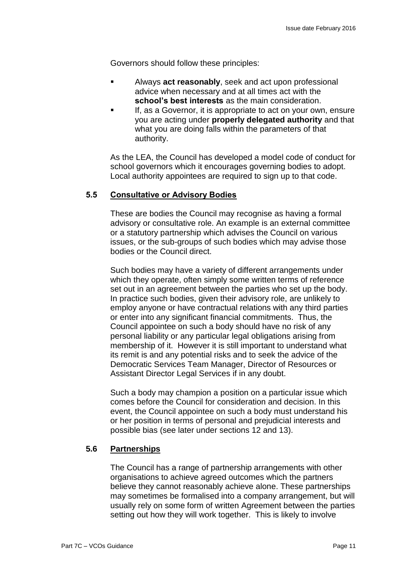Governors should follow these principles:

- Always **act reasonably**, seek and act upon professional advice when necessary and at all times act with the **school's best interests** as the main consideration.
- If, as a Governor, it is appropriate to act on your own, ensure you are acting under **properly delegated authority** and that what you are doing falls within the parameters of that authority.

As the LEA, the Council has developed a model code of conduct for school governors which it encourages governing bodies to adopt. Local authority appointees are required to sign up to that code.

# **5.5 Consultative or Advisory Bodies**

These are bodies the Council may recognise as having a formal advisory or consultative role. An example is an external committee or a statutory partnership which advises the Council on various issues, or the sub-groups of such bodies which may advise those bodies or the Council direct.

Such bodies may have a variety of different arrangements under which they operate, often simply some written terms of reference set out in an agreement between the parties who set up the body. In practice such bodies, given their advisory role, are unlikely to employ anyone or have contractual relations with any third parties or enter into any significant financial commitments. Thus, the Council appointee on such a body should have no risk of any personal liability or any particular legal obligations arising from membership of it. However it is still important to understand what its remit is and any potential risks and to seek the advice of the Democratic Services Team Manager, Director of Resources or Assistant Director Legal Services if in any doubt.

Such a body may champion a position on a particular issue which comes before the Council for consideration and decision. In this event, the Council appointee on such a body must understand his or her position in terms of personal and prejudicial interests and possible bias (see later under sections 12 and 13).

# **5.6 Partnerships**

The Council has a range of partnership arrangements with other organisations to achieve agreed outcomes which the partners believe they cannot reasonably achieve alone. These partnerships may sometimes be formalised into a company arrangement, but will usually rely on some form of written Agreement between the parties setting out how they will work together. This is likely to involve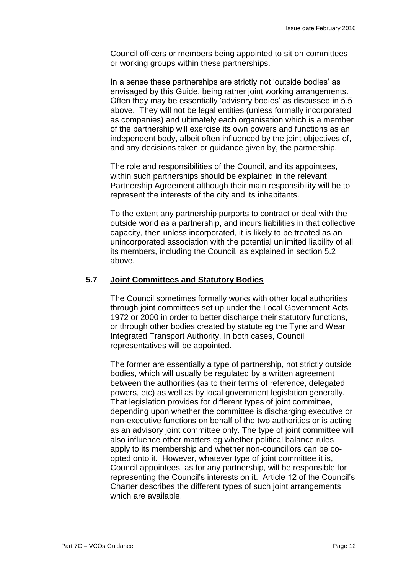Council officers or members being appointed to sit on committees or working groups within these partnerships.

In a sense these partnerships are strictly not 'outside bodies' as envisaged by this Guide, being rather joint working arrangements. Often they may be essentially 'advisory bodies' as discussed in 5.5 above. They will not be legal entities (unless formally incorporated as companies) and ultimately each organisation which is a member of the partnership will exercise its own powers and functions as an independent body, albeit often influenced by the joint objectives of, and any decisions taken or guidance given by, the partnership.

The role and responsibilities of the Council, and its appointees, within such partnerships should be explained in the relevant Partnership Agreement although their main responsibility will be to represent the interests of the city and its inhabitants.

To the extent any partnership purports to contract or deal with the outside world as a partnership, and incurs liabilities in that collective capacity, then unless incorporated, it is likely to be treated as an unincorporated association with the potential unlimited liability of all its members, including the Council, as explained in section 5.2 above.

# **5.7 Joint Committees and Statutory Bodies**

The Council sometimes formally works with other local authorities through joint committees set up under the Local Government Acts 1972 or 2000 in order to better discharge their statutory functions, or through other bodies created by statute eg the Tyne and Wear Integrated Transport Authority. In both cases, Council representatives will be appointed.

The former are essentially a type of partnership, not strictly outside bodies, which will usually be regulated by a written agreement between the authorities (as to their terms of reference, delegated powers, etc) as well as by local government legislation generally. That legislation provides for different types of joint committee, depending upon whether the committee is discharging executive or non-executive functions on behalf of the two authorities or is acting as an advisory joint committee only. The type of joint committee will also influence other matters eg whether political balance rules apply to its membership and whether non-councillors can be coopted onto it. However, whatever type of joint committee it is, Council appointees, as for any partnership, will be responsible for representing the Council's interests on it. Article 12 of the Council's Charter describes the different types of such joint arrangements which are available.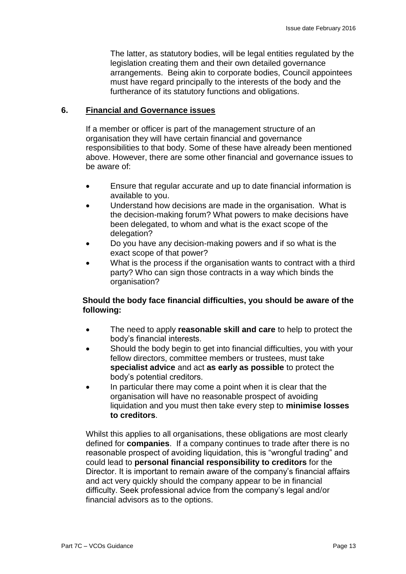The latter, as statutory bodies, will be legal entities regulated by the legislation creating them and their own detailed governance arrangements. Being akin to corporate bodies, Council appointees must have regard principally to the interests of the body and the furtherance of its statutory functions and obligations.

#### **6. Financial and Governance issues**

If a member or officer is part of the management structure of an organisation they will have certain financial and governance responsibilities to that body. Some of these have already been mentioned above. However, there are some other financial and governance issues to be aware of:

- Ensure that regular accurate and up to date financial information is available to you.
- Understand how decisions are made in the organisation. What is the decision-making forum? What powers to make decisions have been delegated, to whom and what is the exact scope of the delegation?
- Do you have any decision-making powers and if so what is the exact scope of that power?
- What is the process if the organisation wants to contract with a third party? Who can sign those contracts in a way which binds the organisation?

# **Should the body face financial difficulties, you should be aware of the following:**

- The need to apply **reasonable skill and care** to help to protect the body's financial interests.
- Should the body begin to get into financial difficulties, you with your fellow directors, committee members or trustees, must take **specialist advice** and act **as early as possible** to protect the body's potential creditors.
- In particular there may come a point when it is clear that the organisation will have no reasonable prospect of avoiding liquidation and you must then take every step to **minimise losses to creditors**.

Whilst this applies to all organisations, these obligations are most clearly defined for **companies**. If a company continues to trade after there is no reasonable prospect of avoiding liquidation, this is "wrongful trading" and could lead to **personal financial responsibility to creditors** for the Director. It is important to remain aware of the company's financial affairs and act very quickly should the company appear to be in financial difficulty. Seek professional advice from the company's legal and/or financial advisors as to the options.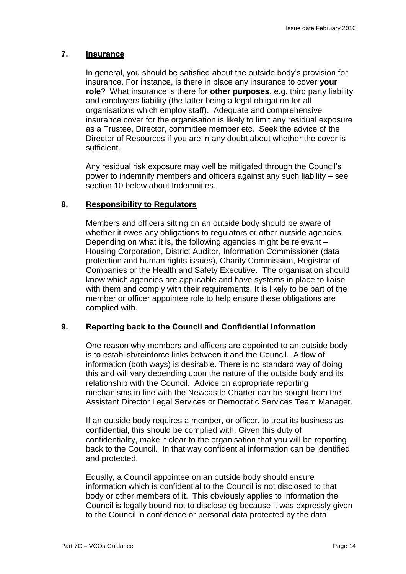# **7. Insurance**

In general, you should be satisfied about the outside body's provision for insurance. For instance, is there in place any insurance to cover **your role**? What insurance is there for **other purposes**, e.g. third party liability and employers liability (the latter being a legal obligation for all organisations which employ staff). Adequate and comprehensive insurance cover for the organisation is likely to limit any residual exposure as a Trustee, Director, committee member etc. Seek the advice of the Director of Resources if you are in any doubt about whether the cover is sufficient.

Any residual risk exposure may well be mitigated through the Council's power to indemnify members and officers against any such liability – see section 10 below about Indemnities.

#### **8. Responsibility to Regulators**

Members and officers sitting on an outside body should be aware of whether it owes any obligations to regulators or other outside agencies. Depending on what it is, the following agencies might be relevant – Housing Corporation, District Auditor, Information Commissioner (data protection and human rights issues), Charity Commission, Registrar of Companies or the Health and Safety Executive. The organisation should know which agencies are applicable and have systems in place to liaise with them and comply with their requirements. It is likely to be part of the member or officer appointee role to help ensure these obligations are complied with.

#### **9. Reporting back to the Council and Confidential Information**

One reason why members and officers are appointed to an outside body is to establish/reinforce links between it and the Council. A flow of information (both ways) is desirable. There is no standard way of doing this and will vary depending upon the nature of the outside body and its relationship with the Council. Advice on appropriate reporting mechanisms in line with the Newcastle Charter can be sought from the Assistant Director Legal Services or Democratic Services Team Manager.

If an outside body requires a member, or officer, to treat its business as confidential, this should be complied with. Given this duty of confidentiality, make it clear to the organisation that you will be reporting back to the Council. In that way confidential information can be identified and protected.

Equally, a Council appointee on an outside body should ensure information which is confidential to the Council is not disclosed to that body or other members of it. This obviously applies to information the Council is legally bound not to disclose eg because it was expressly given to the Council in confidence or personal data protected by the data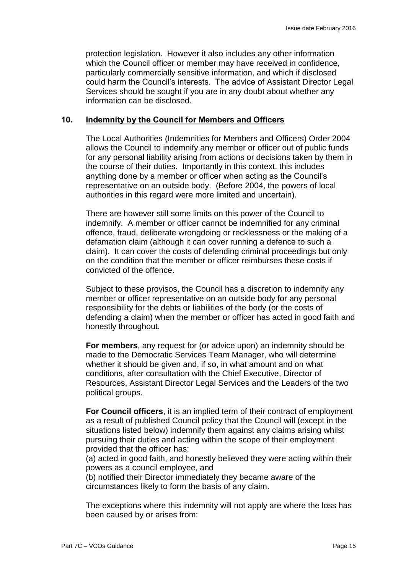protection legislation. However it also includes any other information which the Council officer or member may have received in confidence, particularly commercially sensitive information, and which if disclosed could harm the Council's interests. The advice of Assistant Director Legal Services should be sought if you are in any doubt about whether any information can be disclosed.

#### **10. Indemnity by the Council for Members and Officers**

The Local Authorities (Indemnities for Members and Officers) Order 2004 allows the Council to indemnify any member or officer out of public funds for any personal liability arising from actions or decisions taken by them in the course of their duties. Importantly in this context, this includes anything done by a member or officer when acting as the Council's representative on an outside body. (Before 2004, the powers of local authorities in this regard were more limited and uncertain).

There are however still some limits on this power of the Council to indemnify. A member or officer cannot be indemnified for any criminal offence, fraud, deliberate wrongdoing or recklessness or the making of a defamation claim (although it can cover running a defence to such a claim). It can cover the costs of defending criminal proceedings but only on the condition that the member or officer reimburses these costs if convicted of the offence.

Subject to these provisos, the Council has a discretion to indemnify any member or officer representative on an outside body for any personal responsibility for the debts or liabilities of the body (or the costs of defending a claim) when the member or officer has acted in good faith and honestly throughout.

**For members**, any request for (or advice upon) an indemnity should be made to the Democratic Services Team Manager, who will determine whether it should be given and, if so, in what amount and on what conditions, after consultation with the Chief Executive, Director of Resources, Assistant Director Legal Services and the Leaders of the two political groups.

**For Council officers**, it is an implied term of their contract of employment as a result of published Council policy that the Council will (except in the situations listed below) indemnify them against any claims arising whilst pursuing their duties and acting within the scope of their employment provided that the officer has:

(a) acted in good faith, and honestly believed they were acting within their powers as a council employee, and

(b) notified their Director immediately they became aware of the circumstances likely to form the basis of any claim.

The exceptions where this indemnity will not apply are where the loss has been caused by or arises from: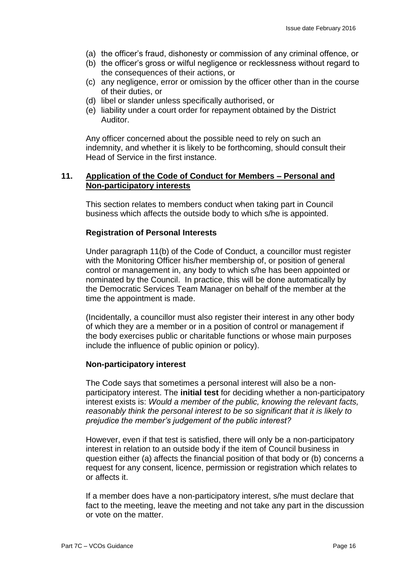- (a) the officer's fraud, dishonesty or commission of any criminal offence, or
- (b) the officer's gross or wilful negligence or recklessness without regard to the consequences of their actions, or
- (c) any negligence, error or omission by the officer other than in the course of their duties, or
- (d) libel or slander unless specifically authorised, or
- (e) liability under a court order for repayment obtained by the District Auditor.

Any officer concerned about the possible need to rely on such an indemnity, and whether it is likely to be forthcoming, should consult their Head of Service in the first instance.

# **11. Application of the Code of Conduct for Members – Personal and Non-participatory interests**

This section relates to members conduct when taking part in Council business which affects the outside body to which s/he is appointed.

#### **Registration of Personal Interests**

Under paragraph 11(b) of the Code of Conduct, a councillor must register with the Monitoring Officer his/her membership of, or position of general control or management in, any body to which s/he has been appointed or nominated by the Council. In practice, this will be done automatically by the Democratic Services Team Manager on behalf of the member at the time the appointment is made.

(Incidentally, a councillor must also register their interest in any other body of which they are a member or in a position of control or management if the body exercises public or charitable functions or whose main purposes include the influence of public opinion or policy).

#### **Non-participatory interest**

The Code says that sometimes a personal interest will also be a nonparticipatory interest. The **initial test** for deciding whether a non-participatory interest exists is: *Would a member of the public, knowing the relevant facts, reasonably think the personal interest to be so significant that it is likely to prejudice the member's judgement of the public interest?*

However, even if that test is satisfied, there will only be a non-participatory interest in relation to an outside body if the item of Council business in question either (a) affects the financial position of that body or (b) concerns a request for any consent, licence, permission or registration which relates to or affects it.

If a member does have a non-participatory interest, s/he must declare that fact to the meeting, leave the meeting and not take any part in the discussion or vote on the matter.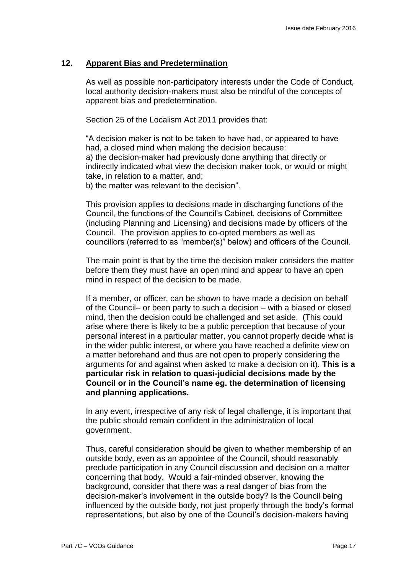# **12. Apparent Bias and Predetermination**

As well as possible non-participatory interests under the Code of Conduct, local authority decision-makers must also be mindful of the concepts of apparent bias and predetermination.

Section 25 of the Localism Act 2011 provides that:

"A decision maker is not to be taken to have had, or appeared to have had, a closed mind when making the decision because: a) the decision-maker had previously done anything that directly or indirectly indicated what view the decision maker took, or would or might take, in relation to a matter, and;

b) the matter was relevant to the decision".

This provision applies to decisions made in discharging functions of the Council, the functions of the Council's Cabinet, decisions of Committee (including Planning and Licensing) and decisions made by officers of the Council. The provision applies to co-opted members as well as councillors (referred to as "member(s)" below) and officers of the Council.

The main point is that by the time the decision maker considers the matter before them they must have an open mind and appear to have an open mind in respect of the decision to be made.

If a member, or officer, can be shown to have made a decision on behalf of the Council– or been party to such a decision – with a biased or closed mind, then the decision could be challenged and set aside. (This could arise where there is likely to be a public perception that because of your personal interest in a particular matter, you cannot properly decide what is in the wider public interest, or where you have reached a definite view on a matter beforehand and thus are not open to properly considering the arguments for and against when asked to make a decision on it). **This is a particular risk in relation to quasi-judicial decisions made by the Council or in the Council's name eg. the determination of licensing and planning applications.** 

In any event, irrespective of any risk of legal challenge, it is important that the public should remain confident in the administration of local government.

Thus, careful consideration should be given to whether membership of an outside body, even as an appointee of the Council, should reasonably preclude participation in any Council discussion and decision on a matter concerning that body. Would a fair-minded observer, knowing the background, consider that there was a real danger of bias from the decision-maker's involvement in the outside body? Is the Council being influenced by the outside body, not just properly through the body's formal representations, but also by one of the Council's decision-makers having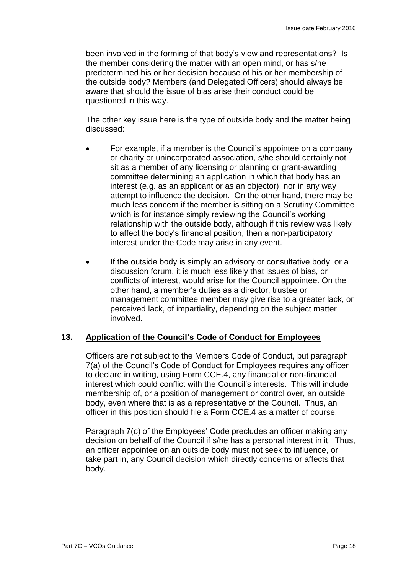been involved in the forming of that body's view and representations? Is the member considering the matter with an open mind, or has s/he predetermined his or her decision because of his or her membership of the outside body? Members (and Delegated Officers) should always be aware that should the issue of bias arise their conduct could be questioned in this way.

The other key issue here is the type of outside body and the matter being discussed:

- For example, if a member is the Council's appointee on a company or charity or unincorporated association, s/he should certainly not sit as a member of any licensing or planning or grant-awarding committee determining an application in which that body has an interest (e.g. as an applicant or as an objector), nor in any way attempt to influence the decision. On the other hand, there may be much less concern if the member is sitting on a Scrutiny Committee which is for instance simply reviewing the Council's working relationship with the outside body, although if this review was likely to affect the body's financial position, then a non-participatory interest under the Code may arise in any event.
- If the outside body is simply an advisory or consultative body, or a discussion forum, it is much less likely that issues of bias, or conflicts of interest, would arise for the Council appointee. On the other hand, a member's duties as a director, trustee or management committee member may give rise to a greater lack, or perceived lack, of impartiality, depending on the subject matter involved.

# **13. Application of the Council's Code of Conduct for Employees**

Officers are not subject to the Members Code of Conduct, but paragraph 7(a) of the Council's Code of Conduct for Employees requires any officer to declare in writing, using Form CCE.4, any financial or non-financial interest which could conflict with the Council's interests. This will include membership of, or a position of management or control over, an outside body, even where that is as a representative of the Council. Thus, an officer in this position should file a Form CCE.4 as a matter of course.

Paragraph 7(c) of the Employees' Code precludes an officer making any decision on behalf of the Council if s/he has a personal interest in it. Thus, an officer appointee on an outside body must not seek to influence, or take part in, any Council decision which directly concerns or affects that body.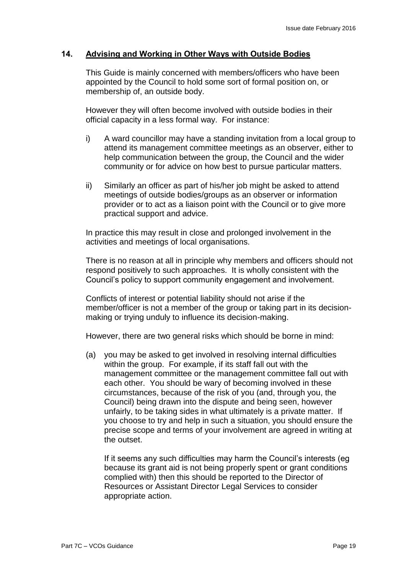# **14. Advising and Working in Other Ways with Outside Bodies**

This Guide is mainly concerned with members/officers who have been appointed by the Council to hold some sort of formal position on, or membership of, an outside body.

However they will often become involved with outside bodies in their official capacity in a less formal way. For instance:

- i) A ward councillor may have a standing invitation from a local group to attend its management committee meetings as an observer, either to help communication between the group, the Council and the wider community or for advice on how best to pursue particular matters.
- ii) Similarly an officer as part of his/her job might be asked to attend meetings of outside bodies/groups as an observer or information provider or to act as a liaison point with the Council or to give more practical support and advice.

In practice this may result in close and prolonged involvement in the activities and meetings of local organisations.

There is no reason at all in principle why members and officers should not respond positively to such approaches. It is wholly consistent with the Council's policy to support community engagement and involvement.

Conflicts of interest or potential liability should not arise if the member/officer is not a member of the group or taking part in its decisionmaking or trying unduly to influence its decision-making.

However, there are two general risks which should be borne in mind:

(a) you may be asked to get involved in resolving internal difficulties within the group. For example, if its staff fall out with the management committee or the management committee fall out with each other. You should be wary of becoming involved in these circumstances, because of the risk of you (and, through you, the Council) being drawn into the dispute and being seen, however unfairly, to be taking sides in what ultimately is a private matter. If you choose to try and help in such a situation, you should ensure the precise scope and terms of your involvement are agreed in writing at the outset.

If it seems any such difficulties may harm the Council's interests (eg because its grant aid is not being properly spent or grant conditions complied with) then this should be reported to the Director of Resources or Assistant Director Legal Services to consider appropriate action.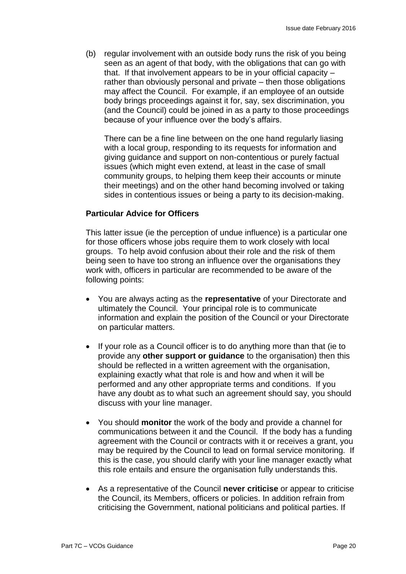(b) regular involvement with an outside body runs the risk of you being seen as an agent of that body, with the obligations that can go with that. If that involvement appears to be in your official capacity – rather than obviously personal and private – then those obligations may affect the Council. For example, if an employee of an outside body brings proceedings against it for, say, sex discrimination, you (and the Council) could be joined in as a party to those proceedings because of your influence over the body's affairs.

There can be a fine line between on the one hand regularly liasing with a local group, responding to its requests for information and giving guidance and support on non-contentious or purely factual issues (which might even extend, at least in the case of small community groups, to helping them keep their accounts or minute their meetings) and on the other hand becoming involved or taking sides in contentious issues or being a party to its decision-making.

# **Particular Advice for Officers**

This latter issue (ie the perception of undue influence) is a particular one for those officers whose jobs require them to work closely with local groups. To help avoid confusion about their role and the risk of them being seen to have too strong an influence over the organisations they work with, officers in particular are recommended to be aware of the following points:

- You are always acting as the **representative** of your Directorate and ultimately the Council. Your principal role is to communicate information and explain the position of the Council or your Directorate on particular matters.
- If your role as a Council officer is to do anything more than that (ie to provide any **other support or guidance** to the organisation) then this should be reflected in a written agreement with the organisation, explaining exactly what that role is and how and when it will be performed and any other appropriate terms and conditions. If you have any doubt as to what such an agreement should say, you should discuss with your line manager.
- You should **monitor** the work of the body and provide a channel for communications between it and the Council. If the body has a funding agreement with the Council or contracts with it or receives a grant, you may be required by the Council to lead on formal service monitoring. If this is the case, you should clarify with your line manager exactly what this role entails and ensure the organisation fully understands this.
- As a representative of the Council **never criticise** or appear to criticise the Council, its Members, officers or policies. In addition refrain from criticising the Government, national politicians and political parties. If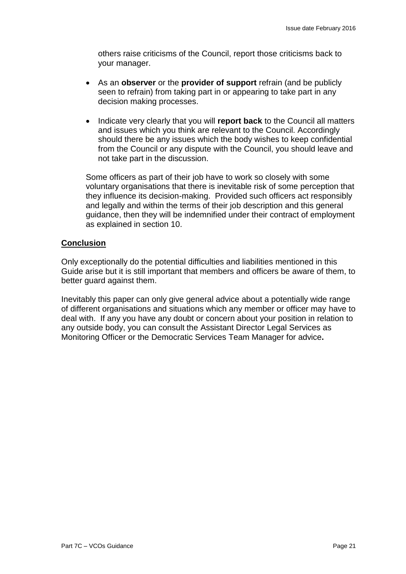others raise criticisms of the Council, report those criticisms back to your manager.

- As an **observer** or the **provider of support** refrain (and be publicly seen to refrain) from taking part in or appearing to take part in any decision making processes.
- Indicate very clearly that you will **report back** to the Council all matters and issues which you think are relevant to the Council. Accordingly should there be any issues which the body wishes to keep confidential from the Council or any dispute with the Council, you should leave and not take part in the discussion.

Some officers as part of their job have to work so closely with some voluntary organisations that there is inevitable risk of some perception that they influence its decision-making. Provided such officers act responsibly and legally and within the terms of their job description and this general guidance, then they will be indemnified under their contract of employment as explained in section 10.

# **Conclusion**

Only exceptionally do the potential difficulties and liabilities mentioned in this Guide arise but it is still important that members and officers be aware of them, to better guard against them.

Inevitably this paper can only give general advice about a potentially wide range of different organisations and situations which any member or officer may have to deal with. If any you have any doubt or concern about your position in relation to any outside body, you can consult the Assistant Director Legal Services as Monitoring Officer or the Democratic Services Team Manager for advice**.**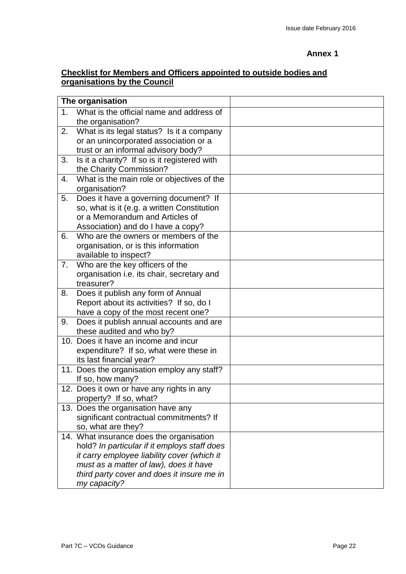# **Annex 1**

# **Checklist for Members and Officers appointed to outside bodies and organisations by the Council**

| The organisation |                                                                    |  |
|------------------|--------------------------------------------------------------------|--|
| 1 <sub>1</sub>   | What is the official name and address of                           |  |
|                  | the organisation?                                                  |  |
| 2.               | What is its legal status? Is it a company                          |  |
|                  | or an unincorporated association or a                              |  |
|                  | trust or an informal advisory body?                                |  |
| 3.               | Is it a charity? If so is it registered with                       |  |
|                  | the Charity Commission?                                            |  |
| 4.               | What is the main role or objectives of the                         |  |
|                  | organisation?                                                      |  |
| 5.               | Does it have a governing document? If                              |  |
|                  | so, what is it (e.g. a written Constitution                        |  |
|                  | or a Memorandum and Articles of                                    |  |
|                  | Association) and do I have a copy?                                 |  |
| 6.               | Who are the owners or members of the                               |  |
|                  | organisation, or is this information                               |  |
|                  | available to inspect?                                              |  |
| 7.               | Who are the key officers of the                                    |  |
|                  | organisation i.e. its chair, secretary and                         |  |
|                  | treasurer?                                                         |  |
| 8.               | Does it publish any form of Annual                                 |  |
|                  | Report about its activities? If so, do I                           |  |
|                  | have a copy of the most recent one?                                |  |
| 9.               | Does it publish annual accounts and are                            |  |
|                  | these audited and who by?<br>10. Does it have an income and incur  |  |
|                  |                                                                    |  |
|                  | expenditure? If so, what were these in<br>its last financial year? |  |
|                  |                                                                    |  |
|                  | 11. Does the organisation employ any staff?<br>If so, how many?    |  |
|                  | 12. Does it own or have any rights in any                          |  |
|                  | property? If so, what?                                             |  |
|                  | 13. Does the organisation have any                                 |  |
|                  | significant contractual commitments? If                            |  |
|                  | so, what are they?                                                 |  |
|                  | 14. What insurance does the organisation                           |  |
|                  | hold? In particular if it employs staff does                       |  |
|                  | it carry employee liability cover (which it                        |  |
|                  | must as a matter of law), does it have                             |  |
|                  | third party cover and does it insure me in                         |  |
|                  | my capacity?                                                       |  |